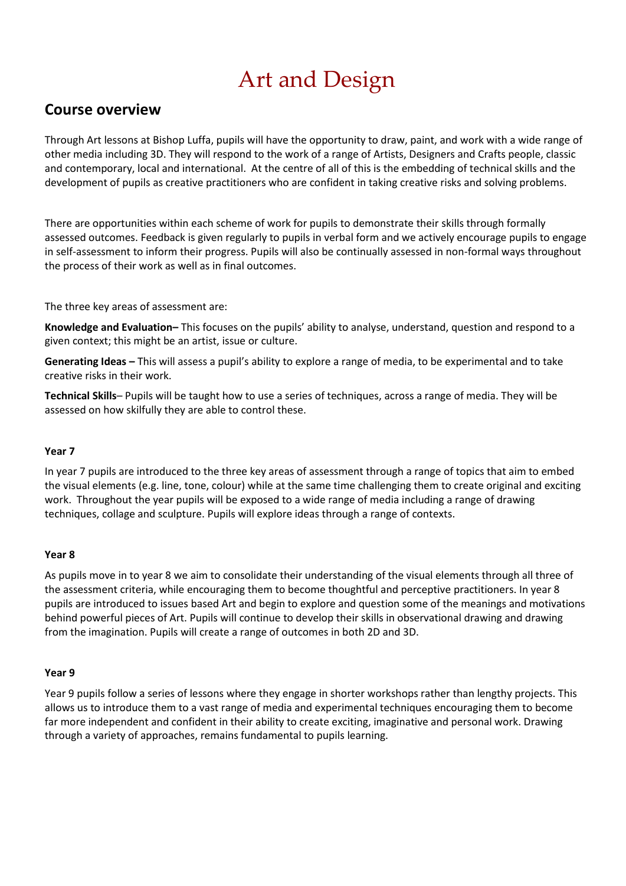## Art and Design

### **Course overview**

Through Art lessons at Bishop Luffa, pupils will have the opportunity to draw, paint, and work with a wide range of other media including 3D. They will respond to the work of a range of Artists, Designers and Crafts people, classic and contemporary, local and international. At the centre of all of this is the embedding of technical skills and the development of pupils as creative practitioners who are confident in taking creative risks and solving problems.

There are opportunities within each scheme of work for pupils to demonstrate their skills through formally assessed outcomes. Feedback is given regularly to pupils in verbal form and we actively encourage pupils to engage in self-assessment to inform their progress. Pupils will also be continually assessed in non-formal ways throughout the process of their work as well as in final outcomes.

The three key areas of assessment are:

**Knowledge and Evaluation–** This focuses on the pupils' ability to analyse, understand, question and respond to a given context; this might be an artist, issue or culture.

**Generating Ideas –** This will assess a pupil's ability to explore a range of media, to be experimental and to take creative risks in their work.

**Technical Skills**– Pupils will be taught how to use a series of techniques, across a range of media. They will be assessed on how skilfully they are able to control these.

### **Year 7**

In year 7 pupils are introduced to the three key areas of assessment through a range of topics that aim to embed the visual elements (e.g. line, tone, colour) while at the same time challenging them to create original and exciting work. Throughout the year pupils will be exposed to a wide range of media including a range of drawing techniques, collage and sculpture. Pupils will explore ideas through a range of contexts.

#### **Year 8**

As pupils move in to year 8 we aim to consolidate their understanding of the visual elements through all three of the assessment criteria, while encouraging them to become thoughtful and perceptive practitioners. In year 8 pupils are introduced to issues based Art and begin to explore and question some of the meanings and motivations behind powerful pieces of Art. Pupils will continue to develop their skills in observational drawing and drawing from the imagination. Pupils will create a range of outcomes in both 2D and 3D.

#### **Year 9**

Year 9 pupils follow a series of lessons where they engage in shorter workshops rather than lengthy projects. This allows us to introduce them to a vast range of media and experimental techniques encouraging them to become far more independent and confident in their ability to create exciting, imaginative and personal work. Drawing through a variety of approaches, remains fundamental to pupils learning.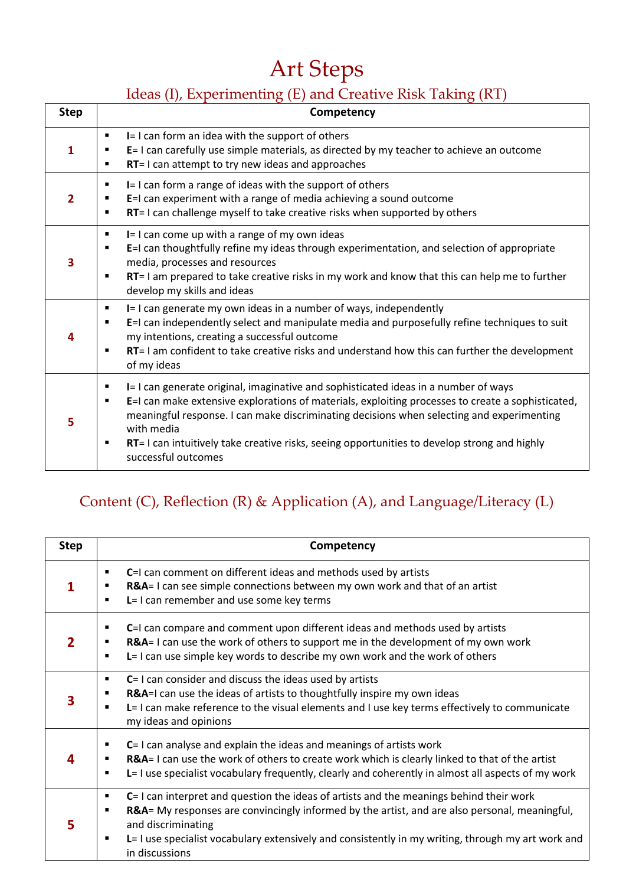# Art Steps

## Ideas (I), Experimenting (E) and Creative Risk Taking (RT)

| <b>Step</b> | Competency                                                                                                                                                                                                                                                                                                                                                                                                                                |
|-------------|-------------------------------------------------------------------------------------------------------------------------------------------------------------------------------------------------------------------------------------------------------------------------------------------------------------------------------------------------------------------------------------------------------------------------------------------|
| 1           | I= I can form an idea with the support of others<br>٠<br>E= I can carefully use simple materials, as directed by my teacher to achieve an outcome<br>٠<br>RT= I can attempt to try new ideas and approaches<br>٠                                                                                                                                                                                                                          |
| 2           | I= I can form a range of ideas with the support of others<br>٠<br>E=I can experiment with a range of media achieving a sound outcome<br>٠<br>RT= I can challenge myself to take creative risks when supported by others<br>$\blacksquare$                                                                                                                                                                                                 |
| 3           | I= I can come up with a range of my own ideas<br>٠<br>E=I can thoughtfully refine my ideas through experimentation, and selection of appropriate<br>٠<br>media, processes and resources<br>RT= I am prepared to take creative risks in my work and know that this can help me to further<br>٠<br>develop my skills and ideas                                                                                                              |
|             | I= I can generate my own ideas in a number of ways, independently<br>٠<br>E=I can independently select and manipulate media and purposefully refine techniques to suit<br>٠<br>my intentions, creating a successful outcome<br>RT= I am confident to take creative risks and understand how this can further the development<br>٠<br>of my ideas                                                                                          |
| 5           | I= I can generate original, imaginative and sophisticated ideas in a number of ways<br>٠<br>E=I can make extensive explorations of materials, exploiting processes to create a sophisticated,<br>٠<br>meaningful response. I can make discriminating decisions when selecting and experimenting<br>with media<br>RT= I can intuitively take creative risks, seeing opportunities to develop strong and highly<br>٠<br>successful outcomes |

## Content (C), Reflection (R) & Application (A), and Language/Literacy (L)

| <b>Step</b> | Competency                                                                                                                                                                                                                                                                                                                                                            |
|-------------|-----------------------------------------------------------------------------------------------------------------------------------------------------------------------------------------------------------------------------------------------------------------------------------------------------------------------------------------------------------------------|
|             | C=I can comment on different ideas and methods used by artists<br>٠<br>R&A= I can see simple connections between my own work and that of an artist<br>L= I can remember and use some key terms<br>$\blacksquare$                                                                                                                                                      |
|             | C=I can compare and comment upon different ideas and methods used by artists<br>٠<br>R&A= I can use the work of others to support me in the development of my own work<br>L= I can use simple key words to describe my own work and the work of others<br>$\blacksquare$                                                                                              |
|             | $C = I$ can consider and discuss the ideas used by artists<br>٠<br>R&A=I can use the ideas of artists to thoughtfully inspire my own ideas<br>٠<br>L= I can make reference to the visual elements and I use key terms effectively to communicate<br>$\blacksquare$<br>my ideas and opinions                                                                           |
|             | $C = 1$ can analyse and explain the ideas and meanings of artists work<br>٠<br>R&A= I can use the work of others to create work which is clearly linked to that of the artist<br>L= I use specialist vocabulary frequently, clearly and coherently in almost all aspects of my work<br>$\blacksquare$                                                                 |
|             | $C = 1$ can interpret and question the ideas of artists and the meanings behind their work<br>٠<br>R&A= My responses are convincingly informed by the artist, and are also personal, meaningful,<br>$\blacksquare$<br>and discriminating<br>L= I use specialist vocabulary extensively and consistently in my writing, through my art work and<br>٠<br>in discussions |